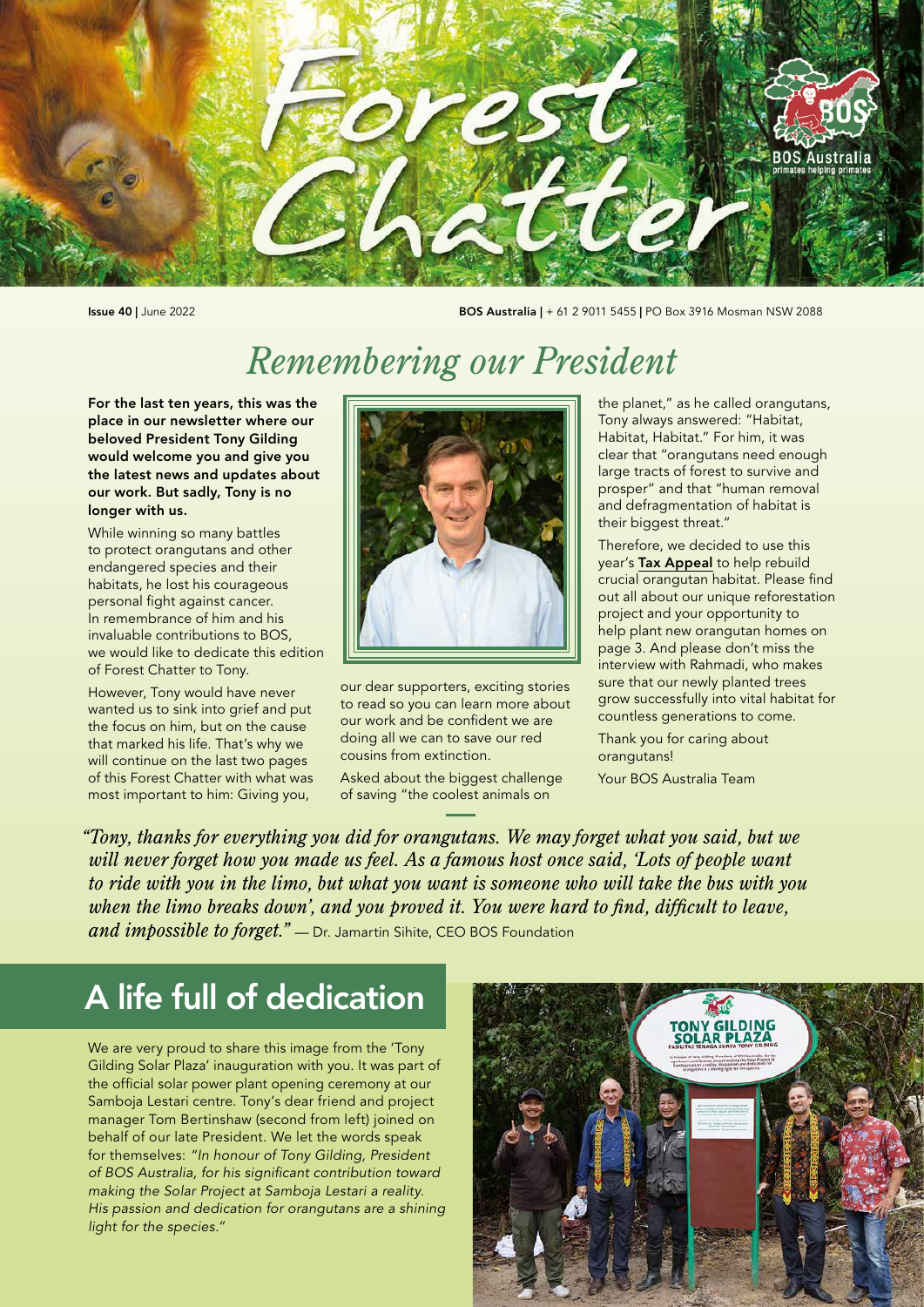

Issue 40 | June 2022 BOS Australia | + 61 2 9011 5455 | PO Box 3916 Mosman NSW 2088

# *Remembering our President*

For the last ten years, this was the place in our newsletter where our beloved President Tony Gilding would welcome you and give you the latest news and updates about our work. But sadly, Tony is no longer with us.

While winning so many battles to protect orangutans and other endangered species and their habitats, he lost his courageous personal fight against cancer. In remembrance of him and his invaluable contributions to BOS, we would like to dedicate this edition of Forest Chatter to Tony.

However, Tony would have never wanted us to sink into grief and put the focus on him, but on the cause that marked his life. That's why we will continue on the last two pages of this Forest Chatter with what was most important to him: Giving you,



our dear supporters, exciting stories to read so you can learn more about our work and be confident we are doing all we can to save our red cousins from extinction.

Asked about the biggest challenge of saving "the coolest animals on

the planet," as he called orangutans, Tony always answered: "Habitat, Habitat, Habitat." For him, it was clear that "orangutans need enough large tracts of forest to survive and prosper" and that "human removal and defragmentation of habitat is their biggest threat."

Therefore, we decided to use this year's [Tax Appeal](http://bit.ly/BOSATaxAppeal) to help rebuild crucial orangutan habitat. Please find out all about our unique reforestation project and your opportunity to help plant new orangutan homes on page 3. And please don't miss the interview with Rahmadi, who makes sure that our newly planted trees grow successfully into vital habitat for countless generations to come.

Thank you for caring about orangutans!

Your BOS Australia Team

*"Tony, thanks for everything you did for orangutans. We may forget what you said, but we will never forget how you made us feel. As a famous host once said, 'Lots of people want to ride with you in the limo, but what you want is someone who will take the bus with you when the limo breaks down', and you proved it. You were hard to find, difficult to leave, and impossible to forget."* — Dr. Jamartin Sihite, CEO BOS Foundation

# A life full of dedication

We are very proud to share this image from the 'Tony Gilding Solar Plaza' inauguration with you. It was part of the official solar power plant opening ceremony at our Samboja Lestari centre. Tony's dear friend and project manager Tom Bertinshaw (second from left) joined on behalf of our late President. We let the words speak for themselves: *"In honour of Tony Gilding, President of BOS Australia, for his significant contribution toward making the Solar Project at Samboja Lestari a reality. His passion and dedication for orangutans are a shining light for the species."*

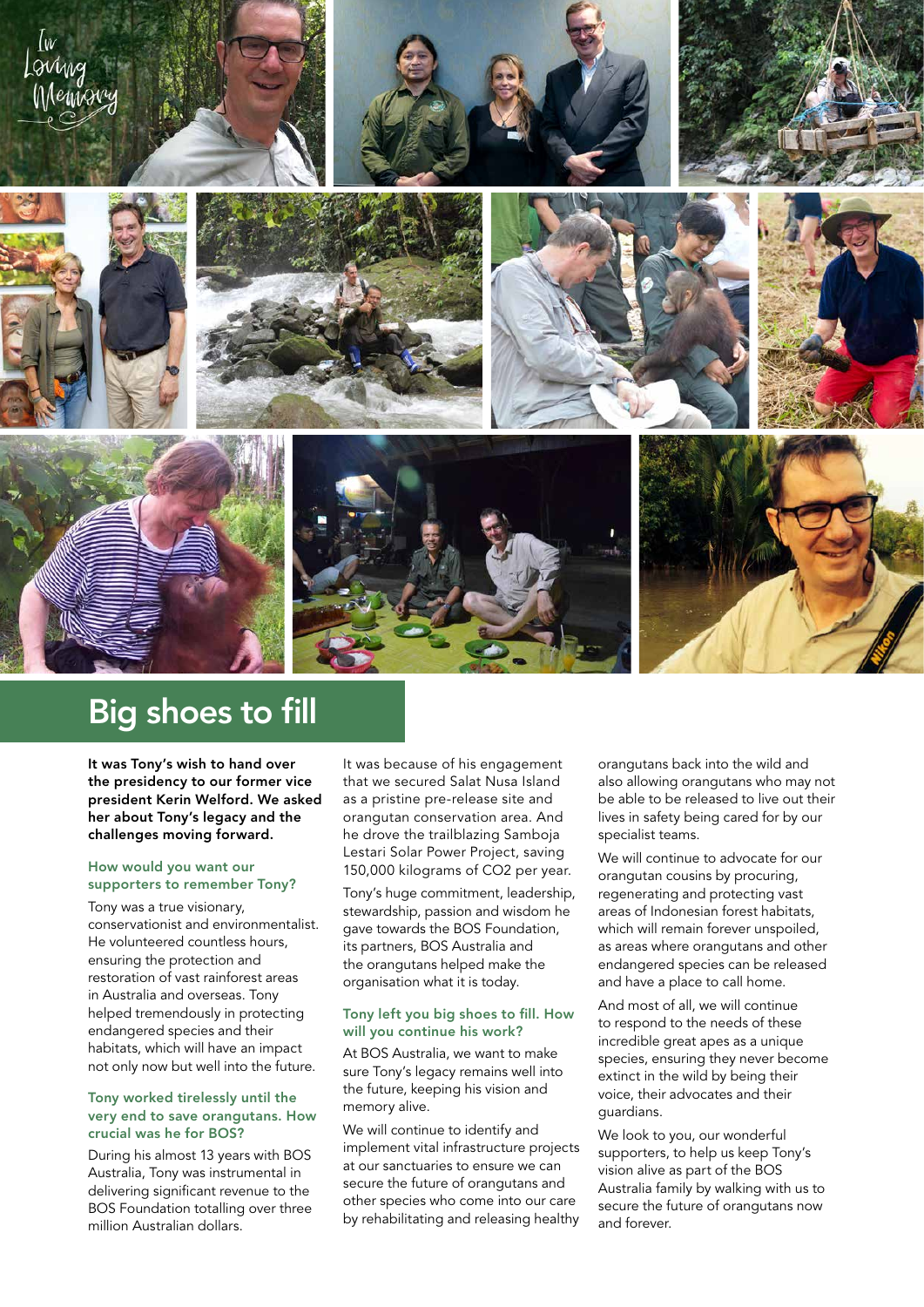

# Big shoes to fill

It was Tony's wish to hand over the presidency to our former vice president Kerin Welford. We asked her about Tony's legacy and the challenges moving forward.

### How would you want our supporters to remember Tony?

Tony was a true visionary, conservationist and environmentalist. He volunteered countless hours, ensuring the protection and restoration of vast rainforest areas in Australia and overseas. Tony helped tremendously in protecting endangered species and their habitats, which will have an impact not only now but well into the future.

### Tony worked tirelessly until the very end to save orangutans. How crucial was he for BOS?

During his almost 13 years with BOS Australia, Tony was instrumental in delivering significant revenue to the BOS Foundation totalling over three million Australian dollars.

It was because of his engagement that we secured Salat Nusa Island as a pristine pre-release site and orangutan conservation area. And he drove the trailblazing Samboja Lestari Solar Power Project, saving 150,000 kilograms of CO2 per year.

Tony's huge commitment, leadership, stewardship, passion and wisdom he gave towards the BOS Foundation, its partners, BOS Australia and the orangutans helped make the organisation what it is today.

#### Tony left you big shoes to fill. How will you continue his work?

At BOS Australia, we want to make sure Tony's legacy remains well into the future, keeping his vision and memory alive.

We will continue to identify and implement vital infrastructure projects at our sanctuaries to ensure we can secure the future of orangutans and other species who come into our care by rehabilitating and releasing healthy

orangutans back into the wild and also allowing orangutans who may not be able to be released to live out their lives in safety being cared for by our specialist teams.

We will continue to advocate for our orangutan cousins by procuring, regenerating and protecting vast areas of Indonesian forest habitats, which will remain forever unspoiled. as areas where orangutans and other endangered species can be released and have a place to call home.

And most of all, we will continue to respond to the needs of these incredible great apes as a unique species, ensuring they never become extinct in the wild by being their voice, their advocates and their guardians.

We look to you, our wonderful supporters, to help us keep Tony's vision alive as part of the BOS Australia family by walking with us to secure the future of orangutans now and forever.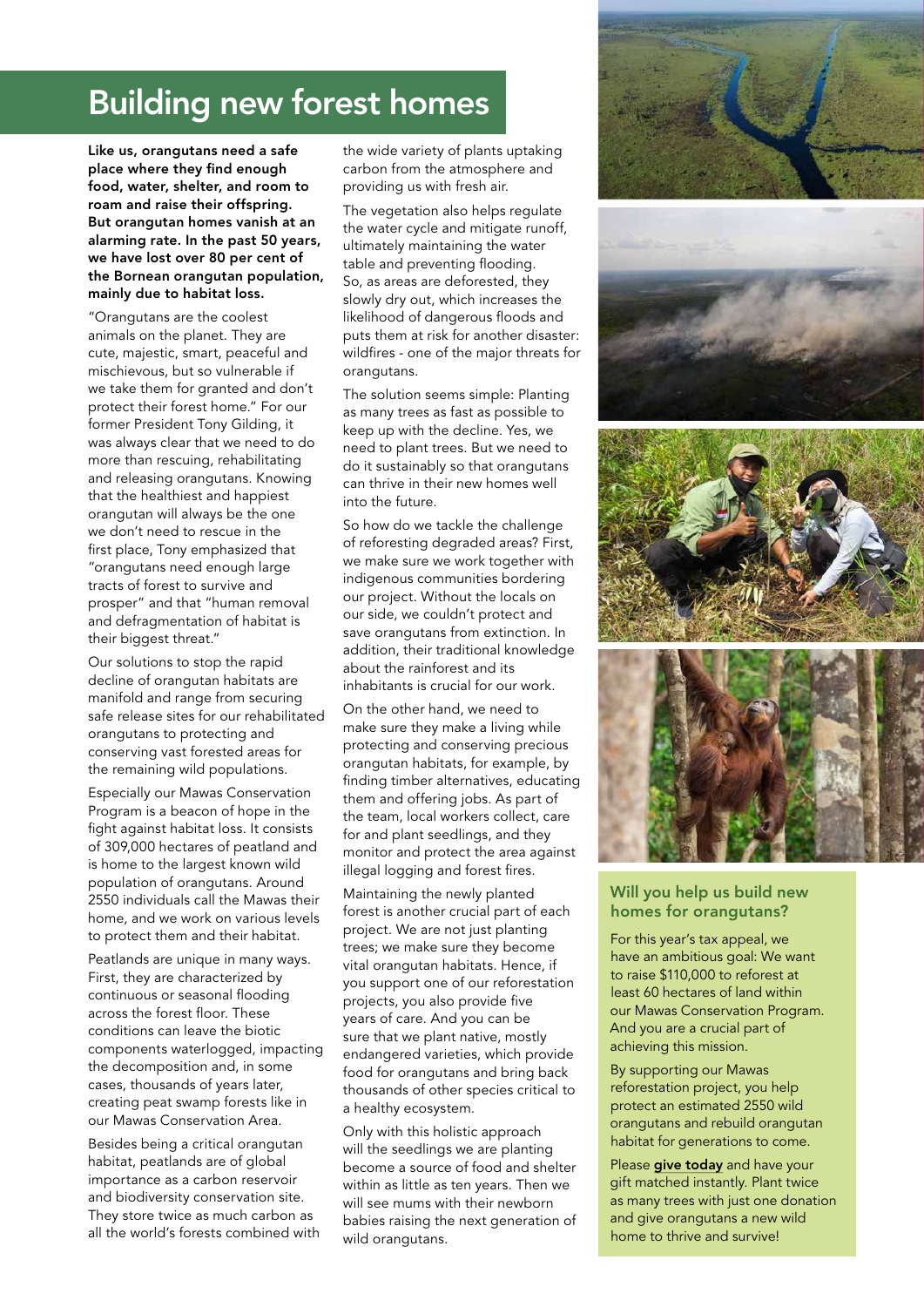# Building new forest homes

Like us, orangutans need a safe place where they find enough food, water, shelter, and room to roam and raise their offspring. But orangutan homes vanish at an alarming rate. In the past 50 years, we have lost over 80 per cent of the Bornean orangutan population, mainly due to habitat loss.

"Orangutans are the coolest animals on the planet. They are cute, majestic, smart, peaceful and mischievous, but so vulnerable if we take them for granted and don't protect their forest home." For our former President Tony Gilding, it was always clear that we need to do more than rescuing, rehabilitating and releasing orangutans. Knowing that the healthiest and happiest orangutan will always be the one we don't need to rescue in the first place, Tony emphasized that "orangutans need enough large tracts of forest to survive and prosper" and that "human removal and defragmentation of habitat is their biggest threat."

Our solutions to stop the rapid decline of orangutan habitats are manifold and range from securing safe release sites for our rehabilitated orangutans to protecting and conserving vast forested areas for the remaining wild populations.

Especially our Mawas Conservation Program is a beacon of hope in the fight against habitat loss. It consists of 309,000 hectares of peatland and is home to the largest known wild population of orangutans. Around 2550 individuals call the Mawas their home, and we work on various levels to protect them and their habitat.

Peatlands are unique in many ways. First, they are characterized by continuous or seasonal flooding across the forest floor. These conditions can leave the biotic components waterlogged, impacting the decomposition and, in some cases, thousands of years later, creating peat swamp forests like in our Mawas Conservation Area.

Besides being a critical orangutan habitat, peatlands are of global importance as a carbon reservoir and biodiversity conservation site. They store twice as much carbon as all the world's forests combined with the wide variety of plants uptaking carbon from the atmosphere and providing us with fresh air.

The vegetation also helps regulate the water cycle and mitigate runoff, ultimately maintaining the water table and preventing flooding. So, as areas are deforested, they slowly dry out, which increases the likelihood of dangerous floods and puts them at risk for another disaster: wildfires - one of the major threats for orangutans.

The solution seems simple: Planting as many trees as fast as possible to keep up with the decline. Yes, we need to plant trees. But we need to do it sustainably so that orangutans can thrive in their new homes well into the future.

So how do we tackle the challenge of reforesting degraded areas? First, we make sure we work together with indigenous communities bordering our project. Without the locals on our side, we couldn't protect and save orangutans from extinction. In addition, their traditional knowledge about the rainforest and its inhabitants is crucial for our work.

On the other hand, we need to make sure they make a living while protecting and conserving precious orangutan habitats, for example, by finding timber alternatives, educating them and offering jobs. As part of the team, local workers collect, care for and plant seedlings, and they monitor and protect the area against illegal logging and forest fires.

Maintaining the newly planted forest is another crucial part of each project. We are not just planting trees; we make sure they become vital orangutan habitats. Hence, if you support one of our reforestation projects, you also provide five years of care. And you can be sure that we plant native, mostly endangered varieties, which provide food for orangutans and bring back thousands of other species critical to a healthy ecosystem.

Only with this holistic approach will the seedlings we are planting become a source of food and shelter within as little as ten years. Then we will see mums with their newborn babies raising the next generation of wild orangutans.









### Will you help us build new homes for orangutans?

For this year's tax appeal, we have an ambitious goal: We want to raise \$110,000 to reforest at least 60 hectares of land within our Mawas Conservation Program. And you are a crucial part of achieving this mission.

By supporting our Mawas reforestation project, you help protect an estimated 2550 wild orangutans and rebuild orangutan habitat for generations to come.

Please [give today](http://bit.ly/BOSATaxAppeal) and have your gift matched instantly. Plant twice as many trees with just one donation and give orangutans a new wild home to thrive and survive!